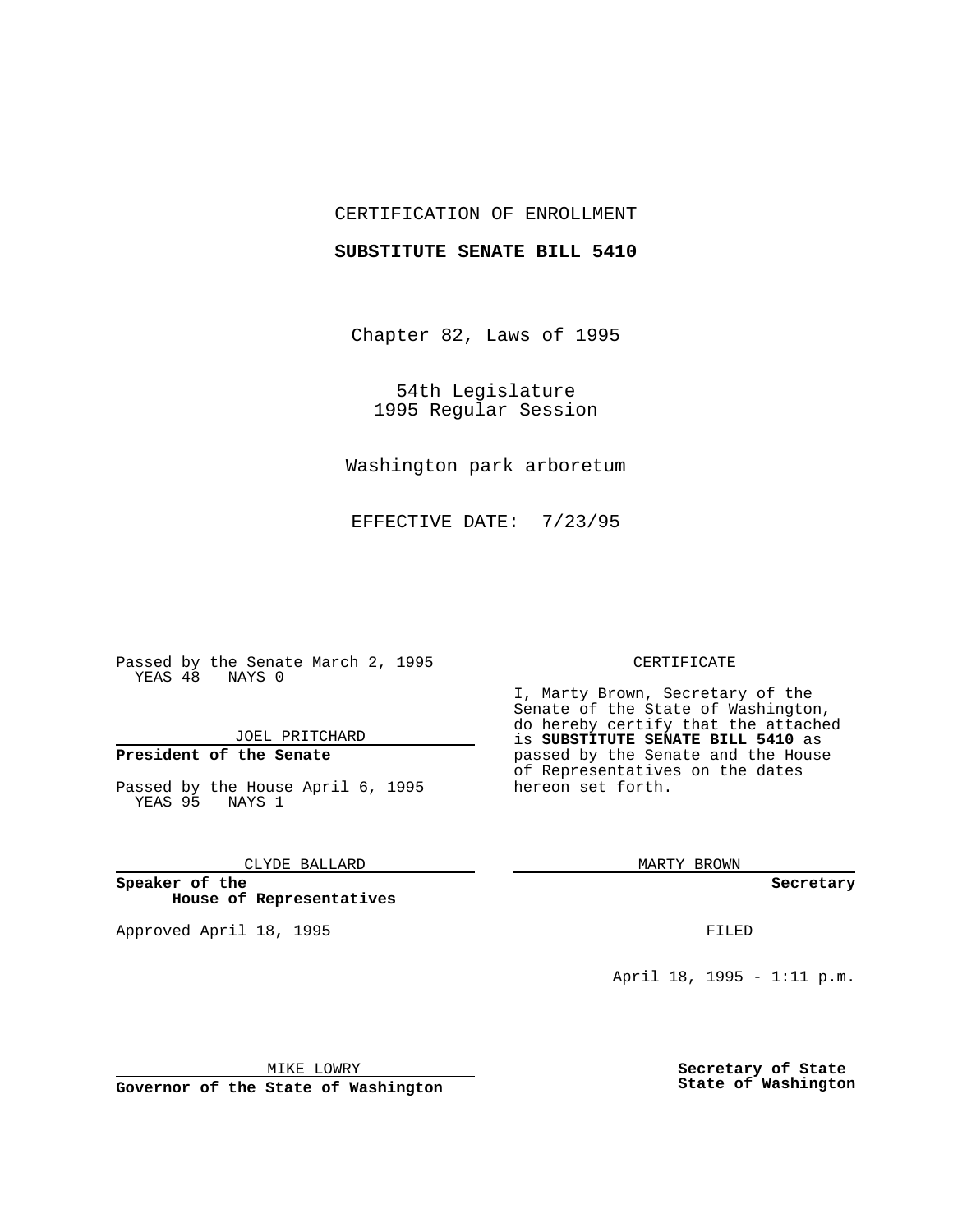## CERTIFICATION OF ENROLLMENT

### **SUBSTITUTE SENATE BILL 5410**

Chapter 82, Laws of 1995

54th Legislature 1995 Regular Session

Washington park arboretum

EFFECTIVE DATE: 7/23/95

Passed by the Senate March 2, 1995 YEAS 48 NAYS 0

JOEL PRITCHARD

# **President of the Senate**

Passed by the House April 6, 1995 YEAS 95 NAYS 1

CLYDE BALLARD

**Speaker of the House of Representatives**

Approved April 18, 1995 FILED

#### CERTIFICATE

I, Marty Brown, Secretary of the Senate of the State of Washington, do hereby certify that the attached is **SUBSTITUTE SENATE BILL 5410** as passed by the Senate and the House of Representatives on the dates hereon set forth.

MARTY BROWN

**Secretary**

April 18, 1995 - 1:11 p.m.

MIKE LOWRY

**Governor of the State of Washington**

**Secretary of State State of Washington**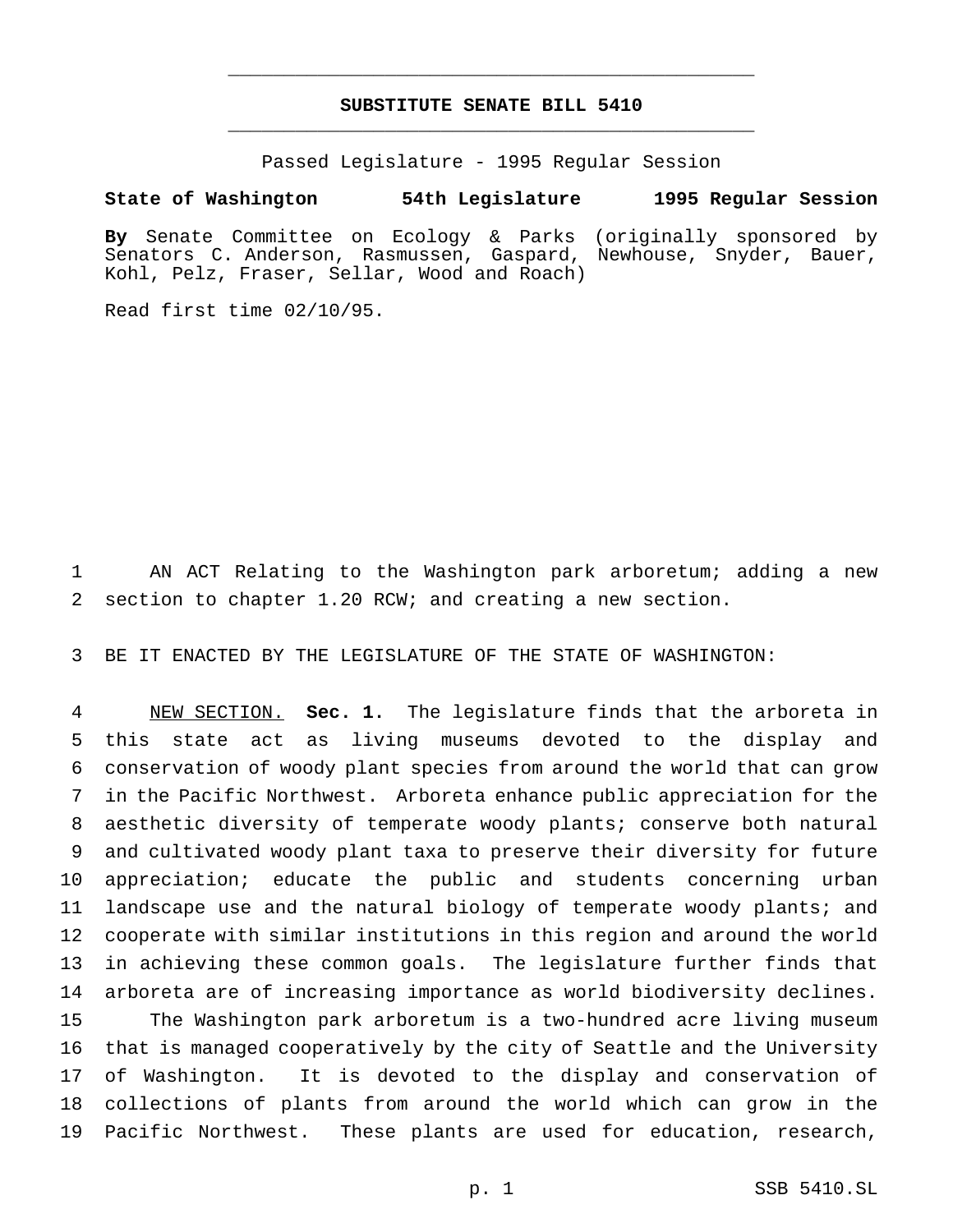## **SUBSTITUTE SENATE BILL 5410** \_\_\_\_\_\_\_\_\_\_\_\_\_\_\_\_\_\_\_\_\_\_\_\_\_\_\_\_\_\_\_\_\_\_\_\_\_\_\_\_\_\_\_\_\_\_\_

\_\_\_\_\_\_\_\_\_\_\_\_\_\_\_\_\_\_\_\_\_\_\_\_\_\_\_\_\_\_\_\_\_\_\_\_\_\_\_\_\_\_\_\_\_\_\_

Passed Legislature - 1995 Regular Session

**State of Washington 54th Legislature 1995 Regular Session**

**By** Senate Committee on Ecology & Parks (originally sponsored by Senators C. Anderson, Rasmussen, Gaspard, Newhouse, Snyder, Bauer, Kohl, Pelz, Fraser, Sellar, Wood and Roach)

Read first time 02/10/95.

 AN ACT Relating to the Washington park arboretum; adding a new section to chapter 1.20 RCW; and creating a new section.

BE IT ENACTED BY THE LEGISLATURE OF THE STATE OF WASHINGTON:

 NEW SECTION. **Sec. 1.** The legislature finds that the arboreta in this state act as living museums devoted to the display and conservation of woody plant species from around the world that can grow in the Pacific Northwest. Arboreta enhance public appreciation for the aesthetic diversity of temperate woody plants; conserve both natural and cultivated woody plant taxa to preserve their diversity for future appreciation; educate the public and students concerning urban 11 landscape use and the natural biology of temperate woody plants; and cooperate with similar institutions in this region and around the world in achieving these common goals. The legislature further finds that arboreta are of increasing importance as world biodiversity declines. The Washington park arboretum is a two-hundred acre living museum that is managed cooperatively by the city of Seattle and the University of Washington. It is devoted to the display and conservation of collections of plants from around the world which can grow in the Pacific Northwest. These plants are used for education, research,